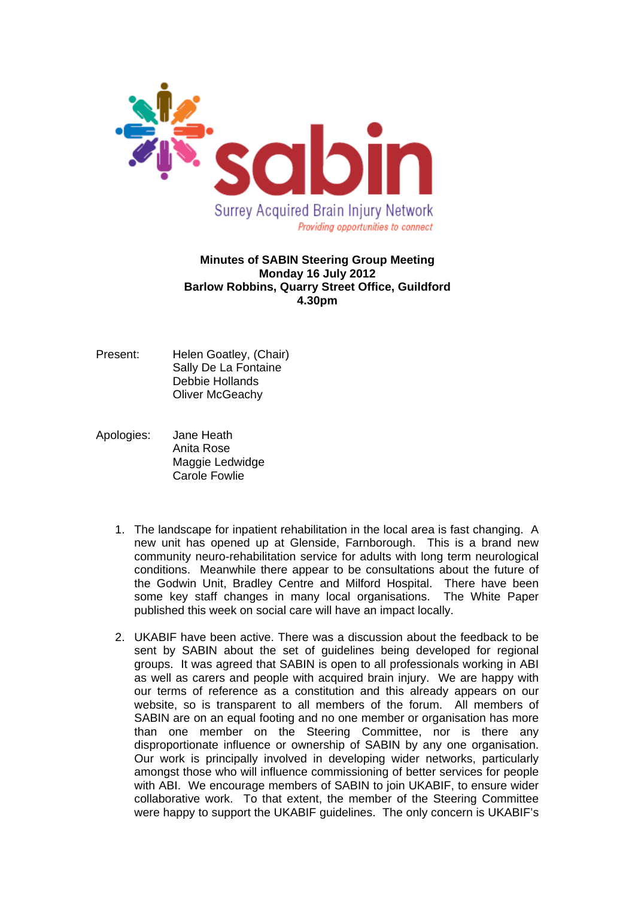

## **Minutes of SABIN Steering Group Meeting Monday 16 July 2012 Barlow Robbins, Quarry Street Office, Guildford 4.30pm**

- Present: Helen Goatley, (Chair) Sally De La Fontaine Debbie Hollands Oliver McGeachy
- Apologies: Jane Heath Anita Rose Maggie Ledwidge Carole Fowlie
	- 1. The landscape for inpatient rehabilitation in the local area is fast changing. A new unit has opened up at Glenside, Farnborough. This is a brand new community neuro-rehabilitation service for adults with long term neurological conditions. Meanwhile there appear to be consultations about the future of the Godwin Unit, Bradley Centre and Milford Hospital. There have been some key staff changes in many local organisations. The White Paper published this week on social care will have an impact locally.
	- 2. UKABIF have been active. There was a discussion about the feedback to be sent by SABIN about the set of guidelines being developed for regional groups. It was agreed that SABIN is open to all professionals working in ABI as well as carers and people with acquired brain injury. We are happy with our terms of reference as a constitution and this already appears on our website, so is transparent to all members of the forum. All members of SABIN are on an equal footing and no one member or organisation has more than one member on the Steering Committee, nor is there any disproportionate influence or ownership of SABIN by any one organisation. Our work is principally involved in developing wider networks, particularly amongst those who will influence commissioning of better services for people with ABI. We encourage members of SABIN to join UKABIF, to ensure wider collaborative work. To that extent, the member of the Steering Committee were happy to support the UKABIF guidelines. The only concern is UKABIF's